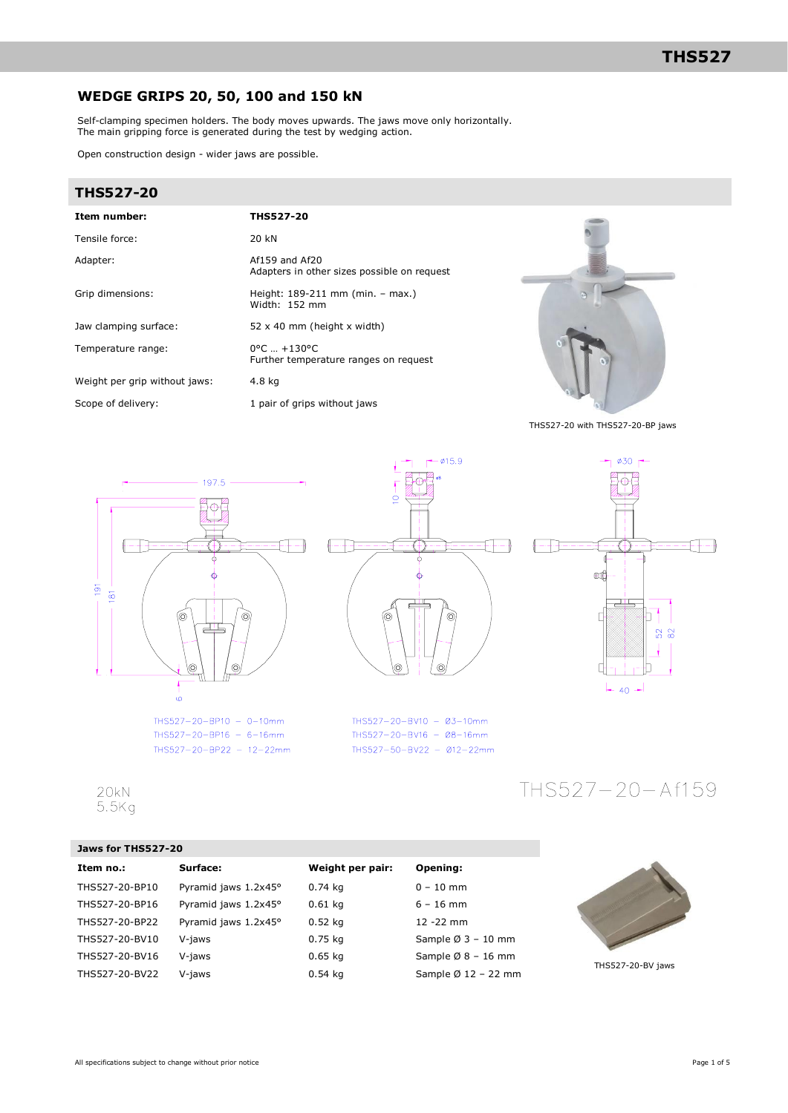## **WEDGE GRIPS 20, 50, 100 and 150 kN**

Self-clamping specimen holders. The body moves upwards. The jaws move only horizontally. The main gripping force is generated during the test by wedging action.

Open construction design - wider jaws are possible.

### **THS527-20**

| Item number:                  | <b>THS527-20</b>                                                          |
|-------------------------------|---------------------------------------------------------------------------|
| Tensile force:                | 20 kN                                                                     |
| Adapter:                      | $Af159$ and $Af20$<br>Adapters in other sizes possible on request         |
| Grip dimensions:              | Height: 189-211 mm (min. – max.)<br>Width: 152 mm                         |
| Jaw clamping surface:         | 52 $\times$ 40 mm (height $\times$ width)                                 |
| Temperature range:            | $0^{\circ}$ C $ + 130^{\circ}$ C<br>Further temperature ranges on request |
| Weight per grip without jaws: | 4.8 kg                                                                    |
| Scope of delivery:            | 1 pair of grips without jaws                                              |

 $-1$   $-415.9$ 

<sup>6</sup>

THS527-20-BV10 - Ø3-10mm

THS527-20-BV16 - Ø8-16mm

THS527-50-BV22 - 012-22mm

 $\begin{picture}(10,10) \put(0,0){\line(1,0){10}} \put(10,0){\line(1,0){10}} \put(10,0){\line(1,0){10}} \put(10,0){\line(1,0){10}} \put(10,0){\line(1,0){10}} \put(10,0){\line(1,0){10}} \put(10,0){\line(1,0){10}} \put(10,0){\line(1,0){10}} \put(10,0){\line(1,0){10}} \put(10,0){\line(1,0){10}} \put(10,0){\line(1,0){10}} \put(10,0){\line(1$ 

ł  $\frac{1}{\sigma}$ 

 $\Box$ 



THS527-20 with THS527-20-BP jaws



 $THS527 - 20 - BPI0 - 0 - 10mm$ THS527-20-BP16 - 6-16mm THS527-20-BP22 - 12-22mm

### $20kN$  $5.5Kq$

### **Jaws for THS527-20**

| Item no.:      | Surface:             | Weight per pair: | Opening:                        |
|----------------|----------------------|------------------|---------------------------------|
| THS527-20-BP10 | Pyramid jaws 1.2x45° | $0.74$ kg        | $0 - 10$ mm                     |
| THS527-20-BP16 | Pyramid jaws 1.2x45° | $0.61$ kg        | $6 - 16$ mm                     |
| THS527-20-BP22 | Pyramid jaws 1.2x45° | $0.52$ kg        | 12 - 22 mm                      |
| THS527-20-BV10 | V-jaws               | $0.75$ kg        | Sample $\varnothing$ 3 - 10 mm  |
| THS527-20-BV16 | V-jaws               | $0.65$ kg        | Sample $\varnothing$ 8 - 16 mm  |
| THS527-20-BV22 | V-jaws               | $0.54$ kg        | Sample $\varnothing$ 12 - 22 mm |



THS527-20-Af159

| THS527-20-BV jaws |  |
|-------------------|--|
|-------------------|--|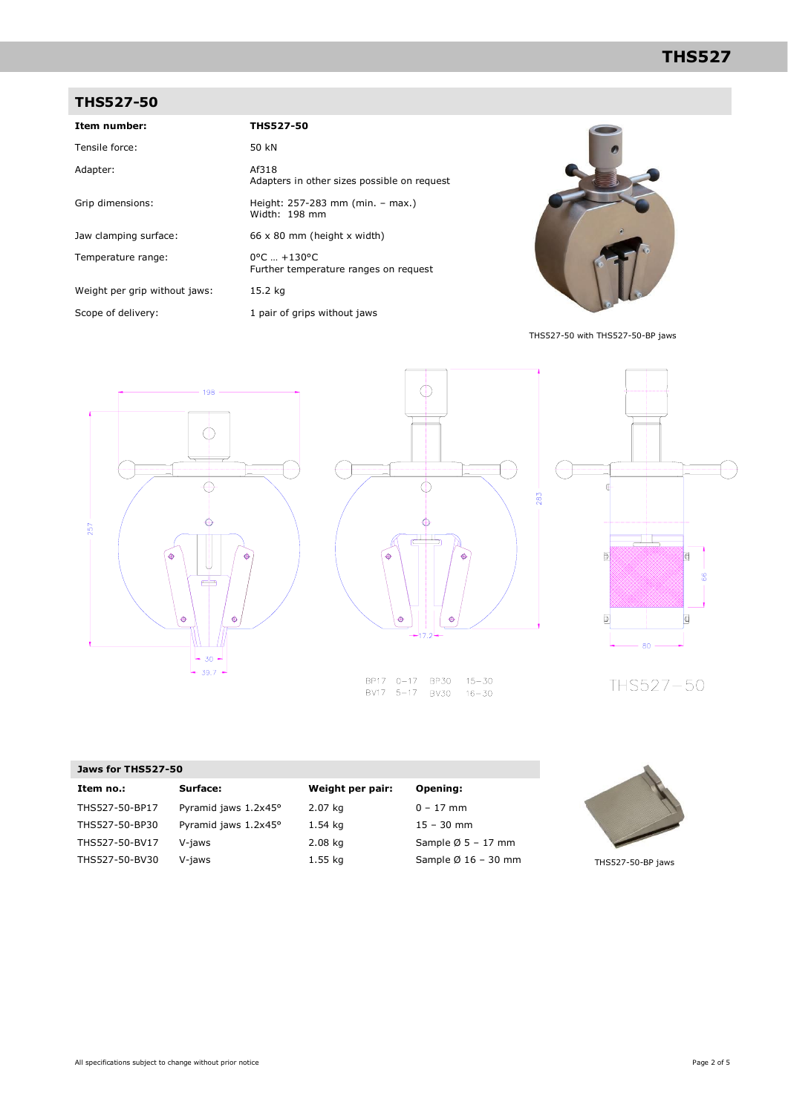## **THS527-50**

| Item number:                  | <b>THS527-50</b>                                                          |
|-------------------------------|---------------------------------------------------------------------------|
| Tensile force:                | 50 kN                                                                     |
| Adapter:                      | Af318<br>Adapters in other sizes possible on request                      |
| Grip dimensions:              | Height: 257-283 mm (min. - max.)<br>Width: 198 mm                         |
| Jaw clamping surface:         | $66 \times 80$ mm (height x width)                                        |
| Temperature range:            | $0^{\circ}$ C $ + 130^{\circ}$ C<br>Further temperature ranges on request |
| Weight per grip without jaws: | 15.2 kg                                                                   |
| Scope of delivery:            | 1 pair of grips without jaws                                              |



THS527-50 with THS527-50-BP jaws





BP17 0-17 BP30 BV17 5-17 BV30 16-30



THS527-50

| Jaws for THS527-50       |                                 |                                 |
|--------------------------|---------------------------------|---------------------------------|
| Surface:<br>Item no.:    | Weight per pair:                | Opening:                        |
| THS527-50-BP17           | Pyramid jaws 1.2x45°<br>2.07 kg | $0 - 17$ mm                     |
| THS527-50-BP30           | Pyramid jaws 1.2x45°<br>1.54 kg | $15 - 30$ mm                    |
| THS527-50-BV17<br>V-jaws | $2.08$ kg                       | Sample $\varnothing$ 5 - 17 mm  |
| THS527-50-BV30<br>V-jaws | $1.55$ kg                       | Sample $\varnothing$ 16 - 30 mm |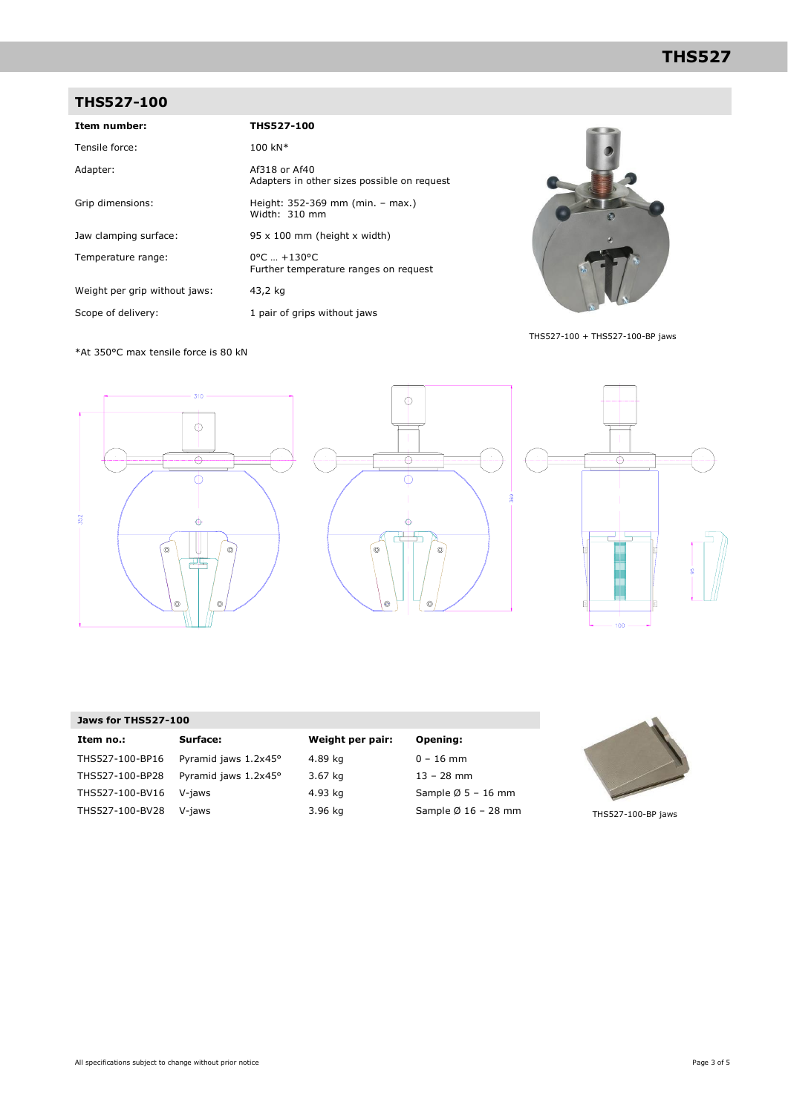# **THS527-100**

| Item number:                  | <b>THS527-100</b>                                                         |
|-------------------------------|---------------------------------------------------------------------------|
| Tensile force:                | $100 \text{ kN}^*$                                                        |
| Adapter:                      | Af318 or Af40<br>Adapters in other sizes possible on request              |
| Grip dimensions:              | Height: 352-369 mm (min. – max.)<br>Width: $310$ mm                       |
| Jaw clamping surface:         | $95 \times 100$ mm (height x width)                                       |
| Temperature range:            | $0^{\circ}$ C $ + 130^{\circ}$ C<br>Further temperature ranges on request |
| Weight per grip without jaws: | 43,2 kg                                                                   |
| Scope of delivery:            | 1 pair of grips without jaws                                              |



THS527-100 + THS527-100-BP jaws

\*At 350°C max tensile force is 80 kN



### **Jaws for THS527-100**

| Item no.:       | Surface:             | Weig |
|-----------------|----------------------|------|
| THS527-100-BP16 | Pyramid jaws 1.2x45° | 4.89 |
| THS527-100-BP28 | Pyramid jaws 1.2x45° | 3.67 |
| THS527-100-BV16 | V-jaws               | 4.93 |
| THS527-100-BV28 | V-jaws               | 3.96 |

# **Int per pair:** Opening:

kg 0 – 16 mm kg 13 – 28 mm  $kg$  Sample Ø 5 – 16 mm  $kg$  Sample Ø 16 – 28 mm



THS527-100-BP jaws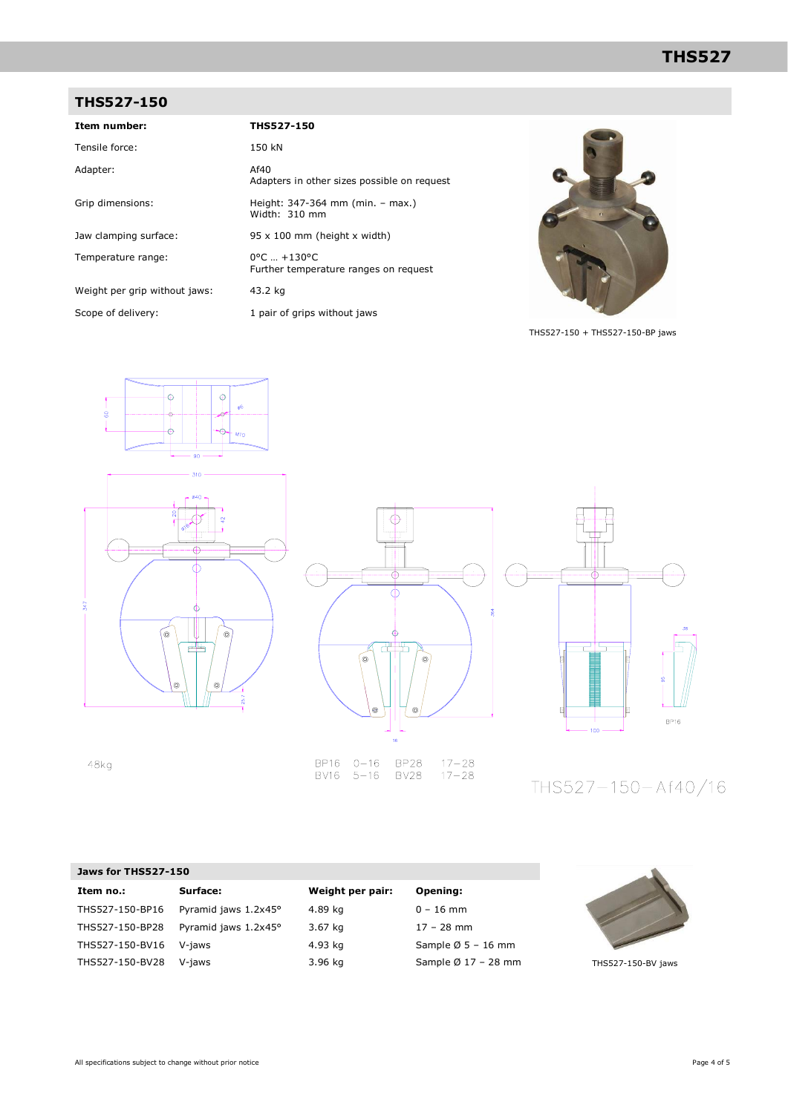# **THS527**

# **THS527-150**

| Item number:                  | THS527-150                                                                |
|-------------------------------|---------------------------------------------------------------------------|
| Tensile force:                | 150 kN                                                                    |
| Adapter:                      | Af40<br>Adapters in other sizes possible on request                       |
| Grip dimensions:              | Height: 347-364 mm (min. – max.)<br>Width: 310 mm                         |
| Jaw clamping surface:         | $95 \times 100$ mm (height x width)                                       |
| Temperature range:            | $0^{\circ}$ C $ + 130^{\circ}$ C<br>Further temperature ranges on request |
| Weight per grip without jaws: | 43.2 kg                                                                   |
| Scope of delivery:            | 1 pair of grips without jaws                                              |



THS527-150 + THS527-150-BP jaws







THS527-150-Af40/16

### **Jaws for THS527-150**

48kg

| Item no.:       | Surface:             | Weight per pair: | Opening:                        |
|-----------------|----------------------|------------------|---------------------------------|
| THS527-150-BP16 | Pyramid jaws 1.2x45° | 4.89 kg          | $0 - 16$ mm                     |
| THS527-150-BP28 | Pyramid jaws 1.2x45° | 3.67 kg          | $17 - 28$ mm                    |
| THS527-150-BV16 | V-jaws               | 4.93 kg          | Sample $\varnothing$ 5 - 16 mm  |
| THS527-150-BV28 | V-jaws               | 3.96 kg          | Sample $\varnothing$ 17 - 28 mm |